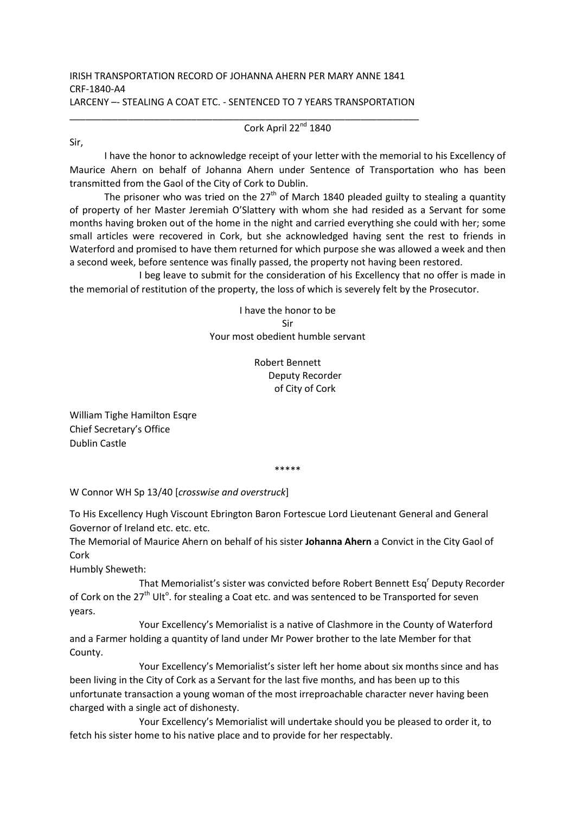## IRISH TRANSPORTATION RECORD OF JOHANNA AHERN PER MARY ANNE 1841 CRF-1840-A4 LARCENY –- STEALING A COAT ETC. - SENTENCED TO 7 YEARS TRANSPORTATION

\_\_\_\_\_\_\_\_\_\_\_\_\_\_\_\_\_\_\_\_\_\_\_\_\_\_\_\_\_\_\_\_\_\_\_\_\_\_\_\_\_\_\_\_\_\_\_\_\_\_\_\_\_\_\_\_\_\_\_\_\_\_\_\_\_\_

Cork April 22<sup>nd</sup> 1840

 I have the honor to acknowledge receipt of your letter with the memorial to his Excellency of Maurice Ahern on behalf of Johanna Ahern under Sentence of Transportation who has been transmitted from the Gaol of the City of Cork to Dublin.

The prisoner who was tried on the  $27<sup>th</sup>$  of March 1840 pleaded guilty to stealing a quantity of property of her Master Jeremiah O'Slattery with whom she had resided as a Servant for some months having broken out of the home in the night and carried everything she could with her; some small articles were recovered in Cork, but she acknowledged having sent the rest to friends in Waterford and promised to have them returned for which purpose she was allowed a week and then a second week, before sentence was finally passed, the property not having been restored.

 I beg leave to submit for the consideration of his Excellency that no offer is made in the memorial of restitution of the property, the loss of which is severely felt by the Prosecutor.

> I have the honor to be Sir Your most obedient humble servant

> > Robert Bennett Deputy Recorder of City of Cork

William Tighe Hamilton Esqre Chief Secretary's Office Dublin Castle

\*\*\*\*\*

W Connor WH Sp 13/40 [*crosswise and overstruck*]

To His Excellency Hugh Viscount Ebrington Baron Fortescue Lord Lieutenant General and General Governor of Ireland etc. etc. etc.

The Memorial of Maurice Ahern on behalf of his sister **Johanna Ahern** a Convict in the City Gaol of Cork

Humbly Sheweth:

That Memorialist's sister was convicted before Robert Bennett Esq<sup>r</sup> Deputy Recorder of Cork on the 27<sup>th</sup> Ult<sup>o</sup>. for stealing a Coat etc. and was sentenced to be Transported for seven years.

 Your Excellency's Memorialist is a native of Clashmore in the County of Waterford and a Farmer holding a quantity of land under Mr Power brother to the late Member for that County.

 Your Excellency's Memorialist's sister left her home about six months since and has been living in the City of Cork as a Servant for the last five months, and has been up to this unfortunate transaction a young woman of the most irreproachable character never having been charged with a single act of dishonesty.

 Your Excellency's Memorialist will undertake should you be pleased to order it, to fetch his sister home to his native place and to provide for her respectably.

Sir,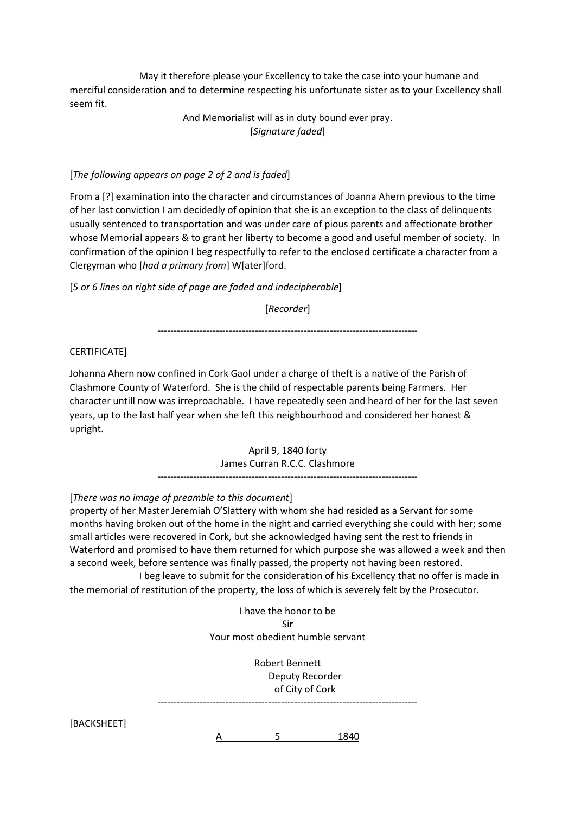May it therefore please your Excellency to take the case into your humane and merciful consideration and to determine respecting his unfortunate sister as to your Excellency shall seem fit.

> And Memorialist will as in duty bound ever pray. [*Signature faded*]

## [*The following appears on page 2 of 2 and is faded*]

From a [?] examination into the character and circumstances of Joanna Ahern previous to the time of her last conviction I am decidedly of opinion that she is an exception to the class of delinquents usually sentenced to transportation and was under care of pious parents and affectionate brother whose Memorial appears & to grant her liberty to become a good and useful member of society. In confirmation of the opinion I beg respectfully to refer to the enclosed certificate a character from a Clergyman who [*had a primary from*] W[ater]ford.

[*5 or 6 lines on right side of page are faded and indecipherable*]

[*Recorder*]

--------------------------------------------------------------------------------

### CERTIFICATE]

Johanna Ahern now confined in Cork Gaol under a charge of theft is a native of the Parish of Clashmore County of Waterford. She is the child of respectable parents being Farmers. Her character untill now was irreproachable. I have repeatedly seen and heard of her for the last seven years, up to the last half year when she left this neighbourhood and considered her honest & upright.

> April 9, 1840 forty James Curran R.C.C. Clashmore --------------------------------------------------------------------------------

#### [*There was no image of preamble to this document*]

property of her Master Jeremiah O'Slattery with whom she had resided as a Servant for some months having broken out of the home in the night and carried everything she could with her; some small articles were recovered in Cork, but she acknowledged having sent the rest to friends in Waterford and promised to have them returned for which purpose she was allowed a week and then a second week, before sentence was finally passed, the property not having been restored.

 I beg leave to submit for the consideration of his Excellency that no offer is made in the memorial of restitution of the property, the loss of which is severely felt by the Prosecutor.

> I have the honor to be Sir Your most obedient humble servant

> > Robert Bennett Deputy Recorder of City of Cork

[BACKSHEET]

A 5 1840

--------------------------------------------------------------------------------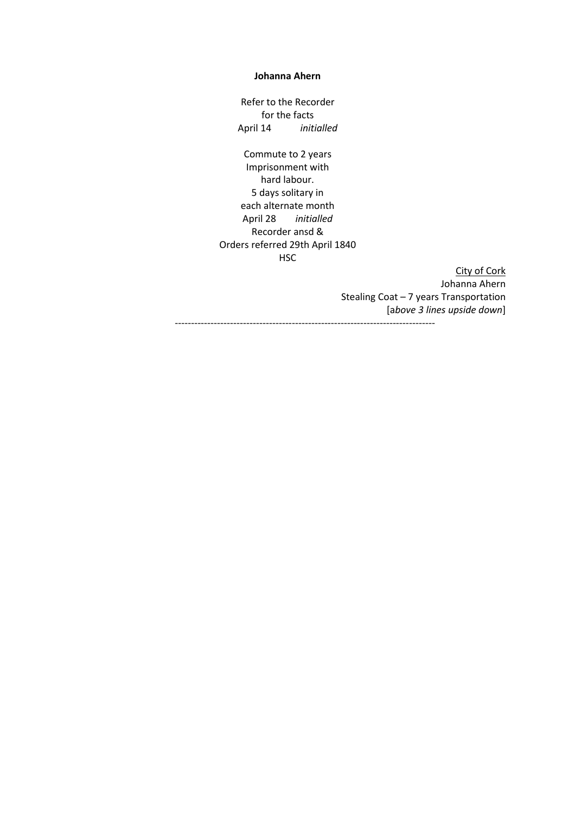#### **Johanna Ahern**

Refer to the Recorder for the facts April 14 *initialled* 

Commute to 2 years Imprisonment with hard labour. 5 days solitary in each alternate month April 28 *initialled*  Recorder ansd & Orders referred 29th April 1840 **HSC** 

> City of Cork Johanna Ahern

Stealing Coat – 7 years Transportation [a*bove 3 lines upside down*]

--------------------------------------------------------------------------------